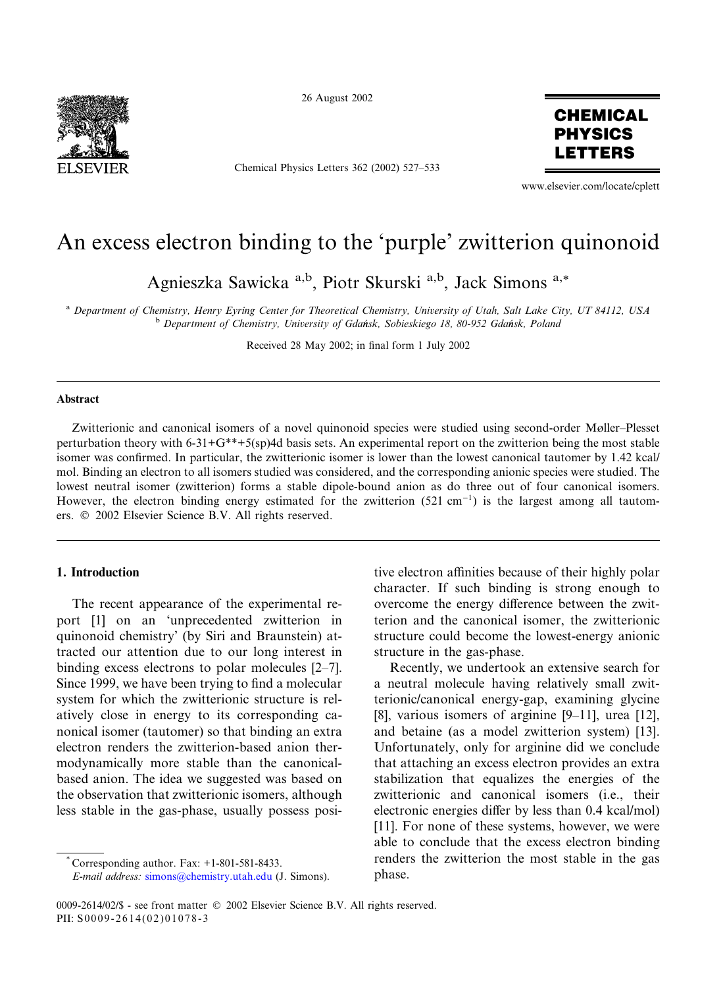

26 August 2002

Chemical Physics Letters 362 (2002) 527–533



www.elsevier.com/locate/cplett

# An excess electron binding to the 'purple' zwitterion quinonoid

Agnieszka Sawicka<sup>a,b</sup>, Piotr Skurski<sup>a,b</sup>, Jack Simons<sup>a,\*</sup>

<sup>a</sup> Department of Chemistry, Henry Eyring Center for Theoretical Chemistry, University of Utah, Salt Lake City, UT 84112, USA <sup>b</sup> Department of Chemistry, University of Gdańsk, Sobieskiego 18, 80-952 Gdańsk, Poland

Received 28 May 2002; in final form 1 July 2002

## Abstract

Zwitterionic and canonical isomers of a novel quinonoid species were studied using second-order Møller–Plesset perturbation theory with 6-31+G\*\*+5(sp)4d basis sets. An experimental report on the zwitterion being the most stable isomer was confirmed. In particular, the zwitterionic isomer is lower than the lowest canonical tautomer by 1.42 kcal/ mol. Binding an electron to all isomers studied was considered, and the corresponding anionic species were studied. The lowest neutral isomer (zwitterion) forms a stable dipole-bound anion as do three out of four canonical isomers. However, the electron binding energy estimated for the zwitterion  $(521 \text{ cm}^{-1})$  is the largest among all tautomers.  $© 2002$  Elsevier Science B.V. All rights reserved.

# 1. Introduction

The recent appearance of the experimental report [1] on an 'unprecedented zwitterion in quinonoid chemistry' (by Siri and Braunstein) attracted our attention due to our long interest in binding excess electrons to polar molecules [2–7]. Since 1999, we have been trying to find a molecular system for which the zwitterionic structure is relatively close in energy to its corresponding canonical isomer (tautomer) so that binding an extra electron renders the zwitterion-based anion thermodynamically more stable than the canonicalbased anion. The idea we suggested was based on the observation that zwitterionic isomers, although less stable in the gas-phase, usually possess posi-

Corresponding author. Fax:  $+1-801-581-8433$ .

E-mail address: [simons@chemistry.utah.edu](mail to: simons@chemistry.utah.edu) (J. Simons).

tive electron affinities because of their highly polar character. If such binding is strong enough to overcome the energy difference between the zwitterion and the canonical isomer, the zwitterionic structure could become the lowest-energy anionic structure in the gas-phase.

Recently, we undertook an extensive search for a neutral molecule having relatively small zwitterionic/canonical energy-gap, examining glycine [8], various isomers of arginine [9–11], urea [12], and betaine (as a model zwitterion system) [13]. Unfortunately, only for arginine did we conclude that attaching an excess electron provides an extra stabilization that equalizes the energies of the zwitterionic and canonical isomers (i.e., their electronic energies differ by less than 0.4 kcal/mol) [11]. For none of these systems, however, we were able to conclude that the excess electron binding renders the zwitterion the most stable in the gas phase.

0009-2614/02/\$ - see front matter  $\odot$  2002 Elsevier Science B.V. All rights reserved. PII: S0009-2614(02)01078-3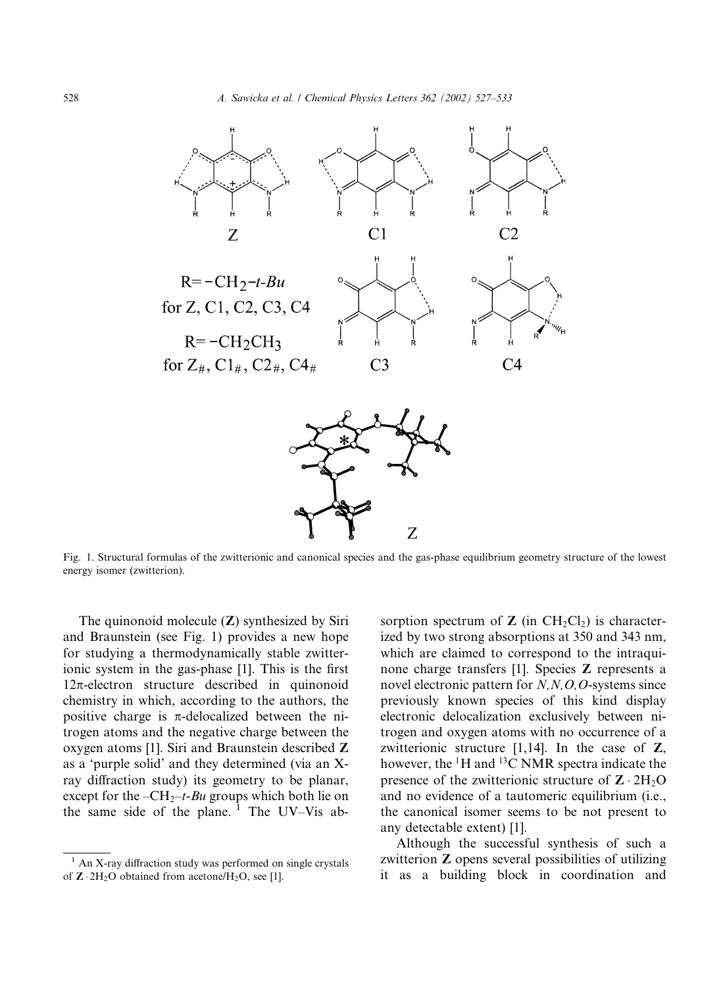

Fig. 1. Structural formulas of the zwitterionic and canonical species and the gas-phase equilibrium geometry structure of the lowest energy isomer (zwitterion).

The quinonoid molecule (Z) synthesized by Siri and Braunstein (see Fig. 1) provides a new hope for studying a thermodynamically stable zwitterionic system in the gas-phase [1]. This is the first  $12\pi$ -electron structure described in quinonoid chemistry in which, according to the authors, the positive charge is  $\pi$ -delocalized between the nitrogen atoms and the negative charge between the oxygen atoms [1]. Siri and Braunstein described Z as a 'purple solid' and they determined (via an Xray diffraction study) its geometry to be planar, except for the  $-CH_2-t-Bu$  groups which both lie on the same side of the plane.  $1$  The UV–Vis absorption spectrum of  $Z$  (in  $CH_2Cl_2$ ) is characterized by two strong absorptions at 350 and 343 nm, which are claimed to correspond to the intraquinone charge transfers [1]. Species Z represents a novel electronic pattern for  $N, N, O, O$ -systems since previously known species of this kind display electronic delocalization exclusively between nitrogen and oxygen atoms with no occurrence of a zwitterionic structure  $[1,14]$ . In the case of  $\mathbb{Z}$ , however, the  ${}^{1}$ H and  ${}^{13}$ C NMR spectra indicate the presence of the zwitterionic structure of  $\mathbf{Z} \cdot 2\mathrm{H}_2\mathrm{O}$ and no evidence of a tautomeric equilibrium (i.e., the canonical isomer seems to be not present to any detectable extent) [1].

Although the successful synthesis of such a zwitterion Z opens several possibilities of utilizing it as a building block in coordination and

<sup>&</sup>lt;sup>1</sup> An X-ray diffraction study was performed on single crystals of  $\mathbb{Z} \cdot 2H_2O$  obtained from acetone/ $H_2O$ , see [1].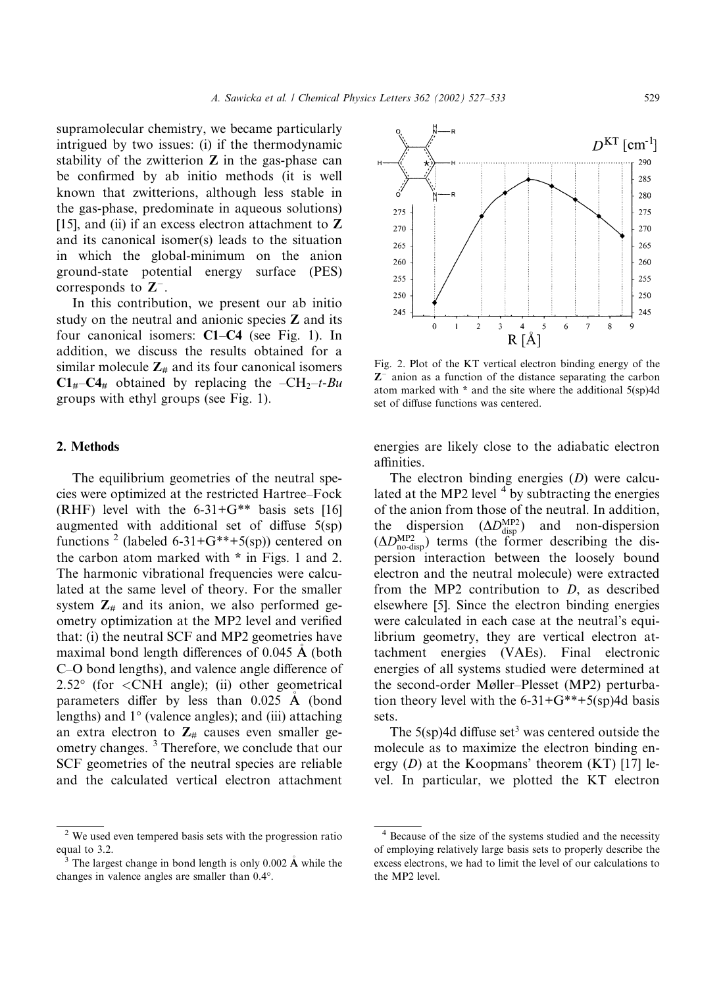supramolecular chemistry, we became particularly intrigued by two issues: (i) if the thermodynamic stability of the zwitterion  $Z$  in the gas-phase can be confirmed by ab initio methods (it is well known that zwitterions, although less stable in the gas-phase, predominate in aqueous solutions) [15], and (ii) if an excess electron attachment to  $Z$ and its canonical isomer(s) leads to the situation in which the global-minimum on the anion ground-state potential energy surface (PES) corresponds to  $\mathbb{Z}^{-}$ .

In this contribution, we present our ab initio study on the neutral and anionic species  $Z$  and its four canonical isomers: C1–C4 (see Fig. 1). In addition, we discuss the results obtained for a similar molecule  $Z_{\#}$  and its four canonical isomers  $C1_{\mu}-C4_{\mu}$  obtained by replacing the  $-CH_2-t-Bu$ groups with ethyl groups (see Fig. 1).

## 2. Methods

The equilibrium geometries of the neutral species were optimized at the restricted Hartree–Fock  $(RHF)$  level with the 6-31+ $G^{**}$  basis sets [16] augmented with additional set of diffuse 5(sp) functions <sup>2</sup> (labeled 6-31+G\*\*+5(sp)) centered on the carbon atom marked with \* in Figs. 1 and 2. The harmonic vibrational frequencies were calculated at the same level of theory. For the smaller system  $\mathbb{Z}_m$  and its anion, we also performed geometry optimization at the MP2 level and verified that: (i) the neutral SCF and MP2 geometries have maximal bond length differences of 0.045  $\AA$  (both C–O bond lengths), and valence angle difference of  $2.52^{\circ}$  (for  $\langle \text{CNH} \rangle$  angle); (ii) other geometrical parameters differ by less than  $0.025$  Å (bond lengths) and  $1^{\circ}$  (valence angles); and (iii) attaching an extra electron to  $Z_{#}$  causes even smaller geometry changes.<sup>3</sup> Therefore, we conclude that our SCF geometries of the neutral species are reliable and the calculated vertical electron attachment



 $\mathbf{\hat{3}}$  The largest change in bond length is only 0.002  $\mathbf{\hat{A}}$  while the changes in valence angles are smaller than  $0.4^{\circ}$ .



Fig. 2. Plot of the KT vertical electron binding energy of the  $Z<sup>-</sup>$  anion as a function of the distance separating the carbon atom marked with \* and the site where the additional 5(sp)4d set of diffuse functions was centered.

energies are likely close to the adiabatic electron affinities.

The electron binding energies (D) were calculated at the MP2 level  $4$  by subtracting the energies of the anion from those of the neutral. In addition, the dispersion  $(\Delta D_{\text{disp}}^{\text{MP2}})$  and non-dispersion  $(\Delta D_{\text{no-disp}}^{\text{MP2}})$  terms (the former describing the dispersion interaction between the loosely bound electron and the neutral molecule) were extracted from the MP2 contribution to D, as described elsewhere [5]. Since the electron binding energies were calculated in each case at the neutral's equilibrium geometry, they are vertical electron attachment energies (VAEs). Final electronic energies of all systems studied were determined at the second-order Møller–Plesset (MP2) perturbation theory level with the  $6-31+G^{**}+5(sp)4d$  basis sets.

The  $5(sp)$ 4d diffuse set<sup>3</sup> was centered outside the molecule as to maximize the electron binding energy  $(D)$  at the Koopmans' theorem  $(KT)$  [17] level. In particular, we plotted the KT electron

<sup>&</sup>lt;sup>4</sup> Because of the size of the systems studied and the necessity of employing relatively large basis sets to properly describe the excess electrons, we had to limit the level of our calculations to the MP2 level.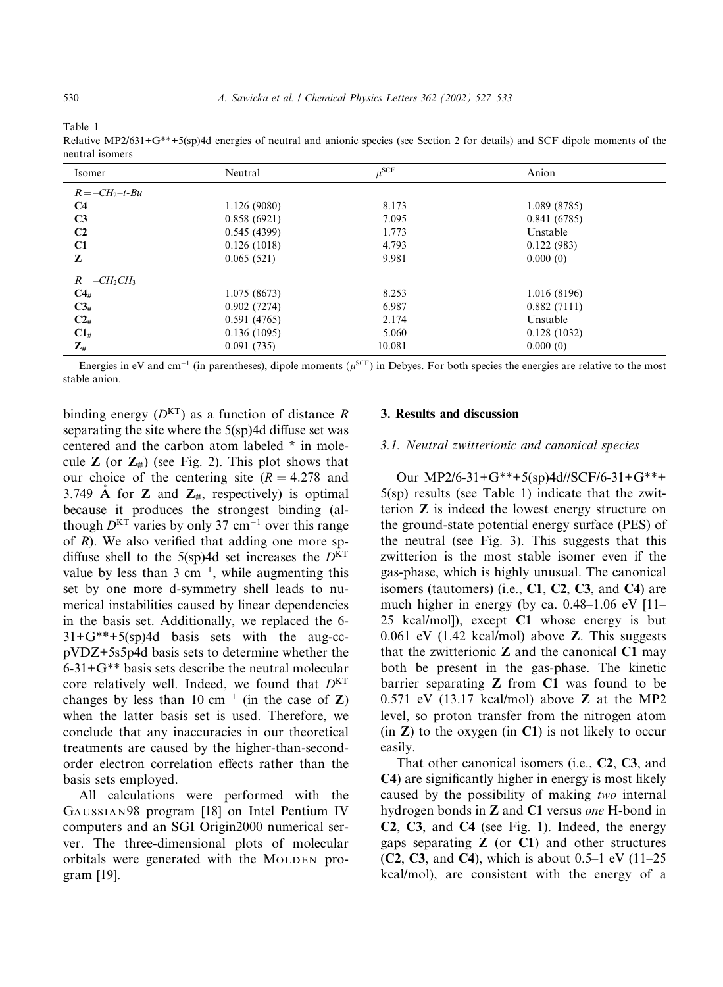Table 1

Relative MP2/631+G\*\*+5(sp)4d energies of neutral and anionic species (see Section 2 for details) and SCF dipole moments of the neutral isomers

| Isomer            | Neutral      | $\mu^{\rm SCF}$ | Anion        |  |
|-------------------|--------------|-----------------|--------------|--|
| $R = -CH_2-t-Bu$  |              |                 |              |  |
| C <sub>4</sub>    | 1.126 (9080) | 8.173           | 1.089 (8785) |  |
| C <sub>3</sub>    | 0.858(6921)  | 7.095           | 0.841(6785)  |  |
| C <sub>2</sub>    | 0.545(4399)  | 1.773           | Unstable     |  |
| C1                | 0.126(1018)  | 4.793           | 0.122(983)   |  |
| Z                 | 0.065(521)   | 9.981           | 0.000(0)     |  |
| $R = -CH_2CH_3$   |              |                 |              |  |
| $C4_{\text{H}}$   | 1.075 (8673) | 8.253           | 1.016 (8196) |  |
| $C3_{\#}$         | 0.902(7274)  | 6.987           | 0.882(7111)  |  |
| $C2_{\#}$         | 0.591(4765)  | 2.174           | Unstable     |  |
| $C1_{\#}$         | 0.136(1095)  | 5.060           | 0.128(1032)  |  |
| $\mathbf{Z}_{\#}$ | 0.091(735)   | 10.081          | 0.000(0)     |  |

Energies in eV and cm<sup>-1</sup> (in parentheses), dipole moments ( $\mu$ <sup>SCF</sup>) in Debyes. For both species the energies are relative to the most stable anion.

binding energy  $(D<sup>KT</sup>)$  as a function of distance R separating the site where the 5(sp)4d diffuse set was centered and the carbon atom labeled \* in molecule **Z** (or  $\mathbb{Z}_4$ ) (see Fig. 2). This plot shows that our choice of the centering site  $(R = 4.278$  and 3.749 Å for **Z** and  $\mathbb{Z}_{#}$ , respectively) is optimal because it produces the strongest binding (although  $D<sup>KT</sup>$  varies by only 37 cm<sup>-1</sup> over this range of  $R$ ). We also verified that adding one more spdiffuse shell to the 5(sp)4d set increases the  $D<sup>KT</sup>$ value by less than 3 cm<sup>-1</sup>, while augmenting this set by one more d-symmetry shell leads to numerical instabilities caused by linear dependencies in the basis set. Additionally, we replaced the 6-  $31+G^{**}+5(sp)4d$  basis sets with the aug-ccpVDZ+5s5p4d basis sets to determine whether the 6-31+G\*\* basis sets describe the neutral molecular core relatively well. Indeed, we found that  $D<sup>KT</sup>$ changes by less than 10 cm<sup>-1</sup> (in the case of **Z**) when the latter basis set is used. Therefore, we conclude that any inaccuracies in our theoretical treatments are caused by the higher-than-secondorder electron correlation effects rather than the basis sets employed.

All calculations were performed with the GAUSSIAN98 program [18] on Intel Pentium IV computers and an SGI Origin2000 numerical server. The three-dimensional plots of molecular orbitals were generated with the MOLDEN program [19].

# 3. Results and discussion

#### 3.1. Neutral zwitterionic and canonical species

Our MP2/6-31+G\*\*+5(sp)4d//SCF/6-31+G\*\*+ 5(sp) results (see Table 1) indicate that the zwitterion Z is indeed the lowest energy structure on the ground-state potential energy surface (PES) of the neutral (see Fig. 3). This suggests that this zwitterion is the most stable isomer even if the gas-phase, which is highly unusual. The canonical isomers (tautomers) (i.e.,  $C1$ ,  $C2$ ,  $C3$ , and  $C4$ ) are much higher in energy (by ca. 0.48–1.06 eV [11– 25 kcal/mol]), except C1 whose energy is but 0.061 eV (1.42 kcal/mol) above Z. This suggests that the zwitterionic  $Z$  and the canonical  $C1$  may both be present in the gas-phase. The kinetic barrier separating  $Z$  from  $C1$  was found to be 0.571 eV (13.17 kcal/mol) above Z at the MP2 level, so proton transfer from the nitrogen atom  $(in Z)$  to the oxygen  $(in C1)$  is not likely to occur easily.

That other canonical isomers (i.e., C2, C3, and C4) are significantly higher in energy is most likely caused by the possibility of making two internal hydrogen bonds in Z and C1 versus one H-bond in C2, C3, and C4 (see Fig. 1). Indeed, the energy gaps separating  $Z$  (or  $C1$ ) and other structures (C2, C3, and C4), which is about  $0.5-1$  eV  $(11-25)$ kcal/mol), are consistent with the energy of a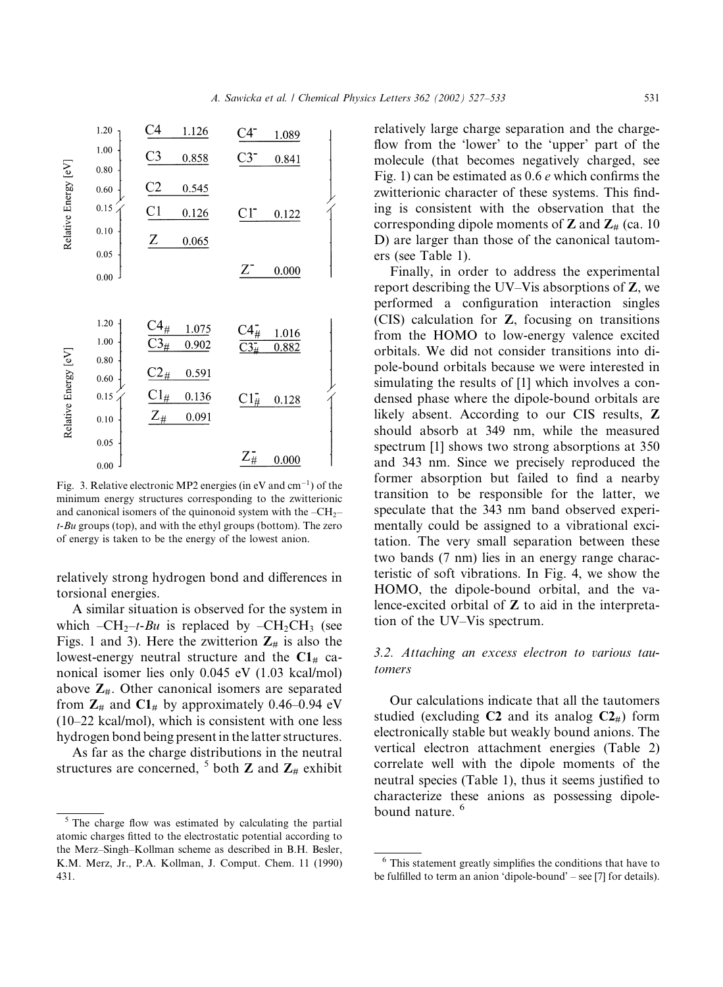

Fig. 3. Relative electronic MP2 energies (in eV and  $cm^{-1}$ ) of the minimum energy structures corresponding to the zwitterionic and canonical isomers of the quinonoid system with the  $-CH<sub>2</sub>$  $t-Bu$  groups (top), and with the ethyl groups (bottom). The zero of energy is taken to be the energy of the lowest anion.

relatively strong hydrogen bond and differences in torsional energies.

A similar situation is observed for the system in which  $-CH_2-t-Bu$  is replaced by  $-CH_2CH_3$  (see Figs. 1 and 3). Here the zwitterion  $\mathbb{Z}_{\#}$  is also the lowest-energy neutral structure and the  $C1<sub>#</sub>$  canonical isomer lies only 0.045 eV (1.03 kcal/mol) above  $\mathbb{Z}_{#}$ . Other canonical isomers are separated from  $\mathbb{Z}_\#$  and  $\mathbb{C}1_\#$  by approximately 0.46–0.94 eV (10–22 kcal/mol), which is consistent with one less hydrogen bond being present in the latter structures.

As far as the charge distributions in the neutral structures are concerned, <sup>5</sup> both **Z** and  $\mathbb{Z}_#$  exhibit relatively large charge separation and the chargeflow from the 'lower' to the 'upper' part of the molecule (that becomes negatively charged, see Fig. 1) can be estimated as 0.6 e which confirms the zwitterionic character of these systems. This finding is consistent with the observation that the corresponding dipole moments of  $Z$  and  $Z_{#}$  (ca. 10) D) are larger than those of the canonical tautomers (see Table 1).

Finally, in order to address the experimental report describing the UV–Vis absorptions of Z, we performed a configuration interaction singles (CIS) calculation for Z, focusing on transitions from the HOMO to low-energy valence excited orbitals. We did not consider transitions into dipole-bound orbitals because we were interested in simulating the results of [1] which involves a condensed phase where the dipole-bound orbitals are likely absent. According to our CIS results, Z should absorb at 349 nm, while the measured spectrum [1] shows two strong absorptions at 350 and 343 nm. Since we precisely reproduced the former absorption but failed to find a nearby transition to be responsible for the latter, we speculate that the 343 nm band observed experimentally could be assigned to a vibrational excitation. The very small separation between these two bands (7 nm) lies in an energy range characteristic of soft vibrations. In Fig. 4, we show the HOMO, the dipole-bound orbital, and the valence-excited orbital of Z to aid in the interpretation of the UV–Vis spectrum.

# 3.2. Attaching an excess electron to various tautomers

Our calculations indicate that all the tautomers studied (excluding  $C2$  and its analog  $C2_{\text{H}}$ ) form electronically stable but weakly bound anions. The vertical electron attachment energies (Table 2) correlate well with the dipole moments of the neutral species (Table 1), thus it seems justified to characterize these anions as possessing dipolebound nature.<sup>6</sup>

 $<sup>5</sup>$  The charge flow was estimated by calculating the partial</sup> atomic charges fitted to the electrostatic potential according to the Merz–Singh–Kollman scheme as described in B.H. Besler, K.M. Merz, Jr., P.A. Kollman, J. Comput. Chem. 11 (1990) 431.

<sup>6</sup> This statement greatly simplifies the conditions that have to be fulfilled to term an anion 'dipole-bound' – see [7] for details).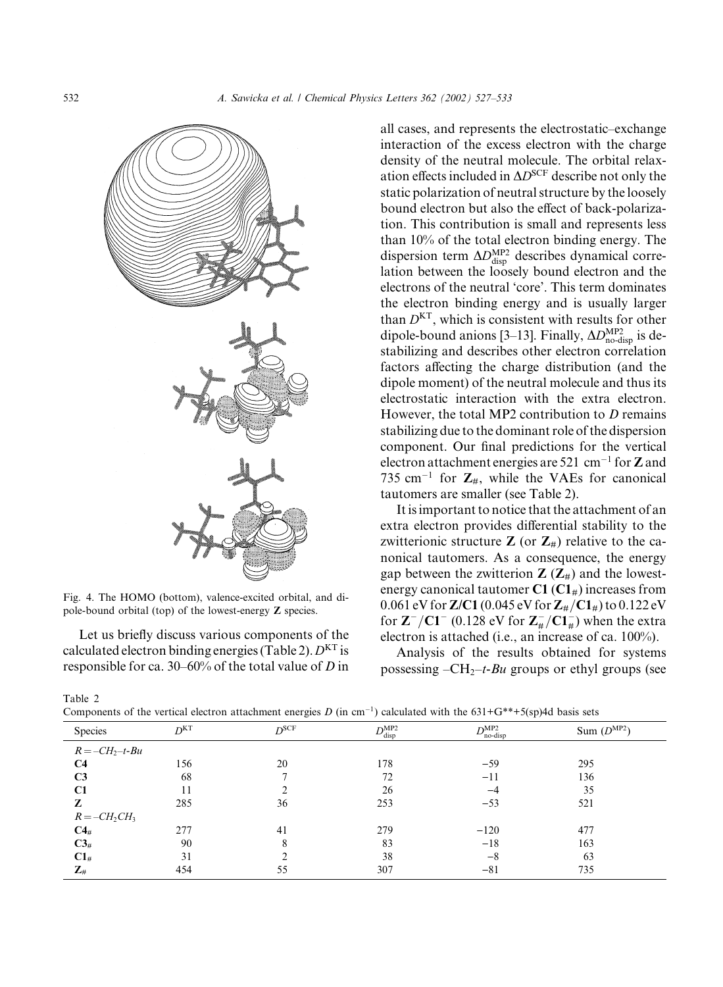

Fig. 4. The HOMO (bottom), valence-excited orbital, and dipole-bound orbital (top) of the lowest-energy Z species.

Let us briefly discuss various components of the calculated electron binding energies (Table 2).  $D<sup>KT</sup>$  is responsible for ca. 30–60% of the total value of D in all cases, and represents the electrostatic–exchange interaction of the excess electron with the charge density of the neutral molecule. The orbital relaxation effects included in  $\Delta D^{\text{SCF}}$  describe not only the static polarization of neutral structure by the loosely bound electron but also the effect of back-polarization. This contribution is small and represents less than 10% of the total electron binding energy. The dispersion term  $\Delta D_{\text{disp}}^{\text{MP2}}$  describes dynamical correlation between the loosely bound electron and the electrons of the neutral 'core'. This term dominates the electron binding energy and is usually larger than  $D<sup>KT</sup>$ , which is consistent with results for other dipole-bound anions [3–13]. Finally,  $\Delta D_{\text{no-disp}}^{\text{MP2}}$  is destabilizing and describes other electron correlation factors affecting the charge distribution (and the dipole moment) of the neutral molecule and thus its electrostatic interaction with the extra electron. However, the total MP2 contribution to  $D$  remains stabilizing due to the dominant role of the dispersion component. Our final predictions for the vertical electron attachment energies are 521 cm<sup>-1</sup> for **Z** and 735 cm<sup>-1</sup> for  $\mathbb{Z}_{#}$ , while the VAEs for canonical tautomers are smaller (see Table 2).

It is important to notice that the attachment of an extra electron provides differential stability to the zwitterionic structure  $Z$  (or  $Z_{\#}$ ) relative to the canonical tautomers. As a consequence, the energy gap between the zwitterion  $Z(Z_{#})$  and the lowestenergy canonical tautomer  $C1 (C1<sub>#</sub>)$  increases from 0.061 eV for Z/C1 (0.045 eV for  $Z_{\#}/C1_{\#}$ ) to 0.122 eV for  $\mathbf{Z}^{-}/\mathbf{C} \mathbf{1}^{-}$  (0.128 eV for  $\mathbf{Z}_{\#}^{-}/\mathbf{C} \mathbf{1}_{\#}^{-}$ ) when the extra electron is attached (i.e., an increase of ca. 100%).

Analysis of the results obtained for systems possessing  $-CH_2-t-Bu$  groups or ethyl groups (see

Table 2

| $\overline{ }$    |                 | $\tilde{}$       |                          | .                    |                 |  |
|-------------------|-----------------|------------------|--------------------------|----------------------|-----------------|--|
| Species           | D <sup>KT</sup> | D <sup>SCF</sup> | $D_{\rm disp}^{\rm MP2}$ | $D^{MP2}$<br>no-disp | Sum $(D^{MP2})$ |  |
| $R = -CH_2-t-Bu$  |                 |                  |                          |                      |                 |  |
| C4                | 156             | 20               | 178                      | $-59$                | 295             |  |
| C <sub>3</sub>    | 68              |                  | 72                       | $-11$                | 136             |  |
| C1                | 11              |                  | 26                       | -4                   | 35              |  |
| z                 | 285             | 36               | 253                      | $-53$                | 521             |  |
| $R = -CH2CH3$     |                 |                  |                          |                      |                 |  |
| $C4_{\#}$         | 277             | 41               | 279                      | $-120$               | 477             |  |
| $C3_{\#}$         | 90              |                  | 83                       | $-18$                | 163             |  |
| $C1_{\#}$         | 31              |                  | 38                       | $-8$                 | 63              |  |
| $\mathbf{Z}_{\#}$ | 454             | 55               | 307                      | $-81$                | 735             |  |